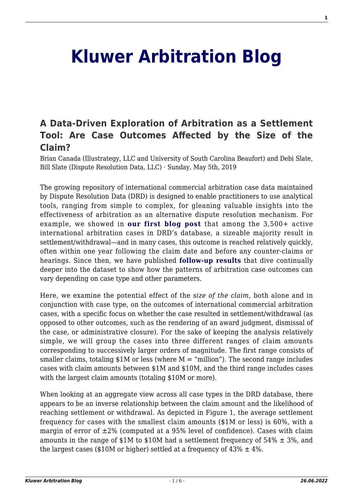## **[Kluwer Arbitration Blog](http://arbitrationblog.kluwerarbitration.com/)**

## **[A Data-Driven Exploration of Arbitration as a Settlement](http://arbitrationblog.kluwerarbitration.com/2019/05/05/a-data-driven-exploration-of-arbitration-as-a-settlement-tool-are-case-outcomes-affected-by-the-size-of-the-claim/) [Tool: Are Case Outcomes Affected by the Size of the](http://arbitrationblog.kluwerarbitration.com/2019/05/05/a-data-driven-exploration-of-arbitration-as-a-settlement-tool-are-case-outcomes-affected-by-the-size-of-the-claim/) [Claim?](http://arbitrationblog.kluwerarbitration.com/2019/05/05/a-data-driven-exploration-of-arbitration-as-a-settlement-tool-are-case-outcomes-affected-by-the-size-of-the-claim/)**

Brian Canada (Illustrategy, LLC and University of South Carolina Beaufort) and Debi Slate, Bill Slate (Dispute Resolution Data, LLC) · Sunday, May 5th, 2019

The growing repository of international commercial arbitration case data maintained by Dispute Resolution Data (DRD) is designed to enable practitioners to use analytical tools, ranging from simple to complex, for gleaning valuable insights into the effectiveness of arbitration as an alternative dispute resolution mechanism. For example, we showed in **[our first blog post](http://arbitrationblog.kluwerarbitration.com/2018/06/11/data-driven-exploration-arbitration-settlement-tool-reality-match-perception/)** that among the 3,500+ active international arbitration cases in DRD's database, a sizeable majority result in settlement/withdrawal—and in many cases, this outcome is reached relatively quickly, often within one year following the claim date and before any counter-claims or hearings. Since then, we have published **[follow-up results](http://arbitrationblog.kluwerarbitration.com/author/debi-slate/)** that dive continually deeper into the dataset to show how the patterns of arbitration case outcomes can vary depending on case type and other parameters.

Here, we examine the potential effect of the *size of the claim*, both alone and in conjunction with case type, on the outcomes of international commercial arbitration cases, with a specific focus on whether the case resulted in settlement/withdrawal (as opposed to other outcomes, such as the rendering of an award judgment, dismissal of the case, or administrative closure). For the sake of keeping the analysis relatively simple, we will group the cases into three different ranges of claim amounts corresponding to successively larger orders of magnitude. The first range consists of smaller claims, totaling  $$1M$  or less (where  $M =$  "million"). The second range includes cases with claim amounts between \$1M and \$10M, and the third range includes cases with the largest claim amounts (totaling \$10M or more).

When looking at an aggregate view across all case types in the DRD database, there appears to be an inverse relationship between the claim amount and the likelihood of reaching settlement or withdrawal. As depicted in Figure 1, the average settlement frequency for cases with the smallest claim amounts (\$1M or less) is 60%, with a margin of error of  $\pm 2\%$  (computed at a 95% level of confidence). Cases with claim amounts in the range of  $$1M$  to  $$10M$  had a settlement frequency of  $54\% \pm 3\%$ , and the largest cases (\$10M or higher) settled at a frequency of  $43\% \pm 4\%$ .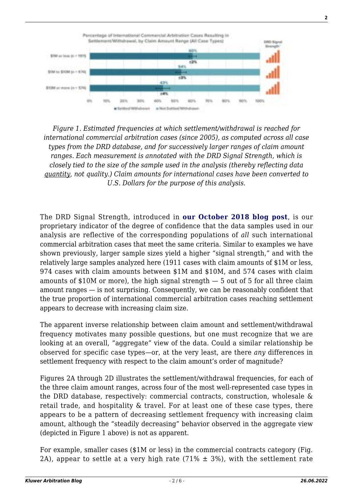

*Figure 1. Estimated frequencies at which settlement/withdrawal is reached for international commercial arbitration cases (since 2005), as computed across all case types from the DRD database, and for successively larger ranges of claim amount ranges. Each measurement is annotated with the DRD Signal Strength, which is closely tied to the size of the sample used in the analysis (thereby reflecting data quantity, not quality.) Claim amounts for international cases have been converted to U.S. Dollars for the purpose of this analysis.*

The DRD Signal Strength, introduced in **[our October 2018 blog post](http://arbitrationblog.kluwerarbitration.com/2018/10/19/a-data-driven-exploration-of-arbitration-as-a-settlement-tool-how-can-we-express-confidence-in-small-data-samples/)**, is our proprietary indicator of the degree of confidence that the data samples used in our analysis are reflective of the corresponding populations of *all* such international commercial arbitration cases that meet the same criteria. Similar to examples we have shown previously, larger sample sizes yield a higher "signal strength," and with the relatively large samples analyzed here (1911 cases with claim amounts of \$1M or less, 974 cases with claim amounts between \$1M and \$10M, and 574 cases with claim amounts of \$10M or more), the high signal strength  $-5$  out of 5 for all three claim amount ranges — is not surprising. Consequently, we can be reasonably confident that the true proportion of international commercial arbitration cases reaching settlement appears to decrease with increasing claim size.

The apparent inverse relationship between claim amount and settlement/withdrawal frequency motivates many possible questions, but one must recognize that we are looking at an overall, "aggregate" view of the data. Could a similar relationship be observed for specific case types—or, at the very least, are there *any* differences in settlement frequency with respect to the claim amount's order of magnitude?

Figures 2A through 2D illustrates the settlement/withdrawal frequencies, for each of the three claim amount ranges, across four of the most well-represented case types in the DRD database, respectively: commercial contracts, construction, wholesale & retail trade, and hospitality & travel. For at least one of these case types, there appears to be a pattern of decreasing settlement frequency with increasing claim amount, although the "steadily decreasing" behavior observed in the aggregate view (depicted in Figure 1 above) is not as apparent.

For example, smaller cases (\$1M or less) in the commercial contracts category (Fig. 2A), appear to settle at a very high rate  $(71\% \pm 3\%)$ , with the settlement rate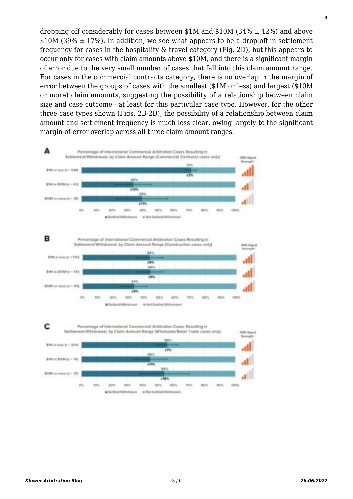dropping off considerably for cases between  $$1M$  and  $$10M$  (34%  $\pm$  12%) and above  $$10M (39\% \pm 17\%)$ . In addition, we see what appears to be a drop-off in settlement frequency for cases in the hospitality & travel category (Fig. 2D), but this appears to occur only for cases with claim amounts above \$10M, and there is a significant margin of error due to the very small number of cases that fall into this claim amount range. For cases in the commercial contracts category, there is no overlap in the margin of error between the groups of cases with the smallest (\$1M or less) and largest (\$10M or more) claim amounts, suggesting the possibility of a relationship between claim size and case outcome—at least for this particular case type. However, for the other three case types shown (Figs. 2B-2D), the possibility of a relationship between claim amount and settlement frequency is much less clear, owing largely to the significant margin-of-error overlap across all three claim amount ranges.

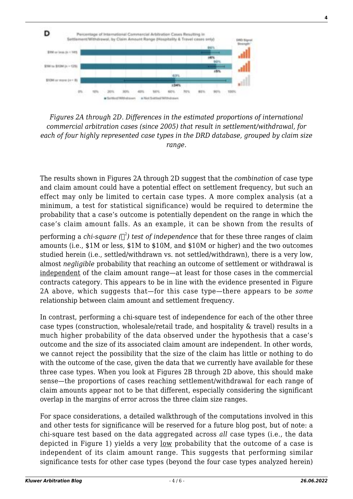

*Figures 2A through 2D. Differences in the estimated proportions of international commercial arbitration cases (since 2005) that result in settlement/withdrawal, for each of four highly represented case types in the DRD database, grouped by claim size range.*

The results shown in Figures 2A through 2D suggest that the *combination* of case type and claim amount could have a potential effect on settlement frequency, but such an effect may only be limited to certain case types. A more complex analysis (at a minimum, a test for statistical significance) would be required to determine the probability that a case's outcome is potentially dependent on the range in which the case's claim amount falls. As an example, it can be shown from the results of

performing a *chi-square (* 2 *) test of independence* that for these three ranges of claim amounts (i.e., \$1M or less, \$1M to \$10M, and \$10M or higher) and the two outcomes studied herein (i.e., settled/withdrawn vs. not settled/withdrawn), there is a very low, almost *negligible* probability that reaching an outcome of settlement or withdrawal is independent of the claim amount range—at least for those cases in the commercial contracts category. This appears to be in line with the evidence presented in Figure 2A above, which suggests that—for this case type—there appears to be *some* relationship between claim amount and settlement frequency.

In contrast, performing a chi-square test of independence for each of the other three case types (construction, wholesale/retail trade, and hospitality & travel) results in a much higher probability of the data observed under the hypothesis that a case's outcome and the size of its associated claim amount are independent. In other words, we cannot reject the possibility that the size of the claim has little or nothing to do with the outcome of the case, given the data that we currently have available for these three case types. When you look at Figures 2B through 2D above, this should make sense—the proportions of cases reaching settlement/withdrawal for each range of claim amounts appear not to be that different, especially considering the significant overlap in the margins of error across the three claim size ranges.

For space considerations, a detailed walkthrough of the computations involved in this and other tests for significance will be reserved for a future blog post, but of note: a chi-square test based on the data aggregated across *all* case types (i.e., the data depicted in Figure 1) yields a very <u>low</u> probability that the outcome of a case is independent of its claim amount range. This suggests that performing similar significance tests for other case types (beyond the four case types analyzed herein)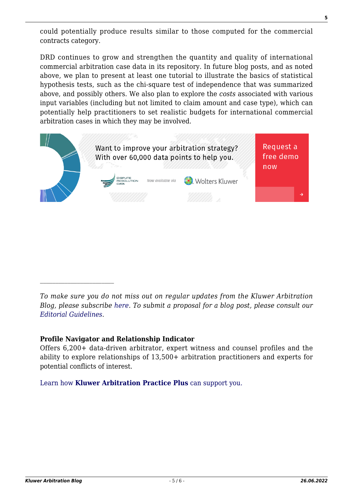could potentially produce results similar to those computed for the commercial contracts category.

DRD continues to grow and strengthen the quantity and quality of international commercial arbitration case data in its repository. In future blog posts, and as noted above, we plan to present at least one tutorial to illustrate the basics of statistical hypothesis tests, such as the chi-square test of independence that was summarized above, and possibly others. We also plan to explore the *costs* associated with various input variables (including but not limited to claim amount and case type), which can potentially help practitioners to set realistic budgets for international commercial arbitration cases in which they may be involved.



*To make sure you do not miss out on regular updates from the Kluwer Arbitration Blog, please subscribe [here](http://arbitrationblog.kluwerarbitration.com/newsletter/). To submit a proposal for a blog post, please consult our [Editorial Guidelines.](http://arbitrationblog.kluwerarbitration.com/editorial-guidelines/)*

## **Profile Navigator and Relationship Indicator**

Offers 6,200+ data-driven arbitrator, expert witness and counsel profiles and the ability to explore relationships of 13,500+ arbitration practitioners and experts for potential conflicts of interest.

[Learn how](https://www.wolterskluwer.com/en/solutions/kluwerarbitration/practiceplus?utm_source=arbitrationblog&utm_medium=articleCTA&utm_campaign=article-banner) **[Kluwer Arbitration Practice Plus](https://www.wolterskluwer.com/en/solutions/kluwerarbitration/practiceplus?utm_source=arbitrationblog&utm_medium=articleCTA&utm_campaign=article-banner)** [can support you.](https://www.wolterskluwer.com/en/solutions/kluwerarbitration/practiceplus?utm_source=arbitrationblog&utm_medium=articleCTA&utm_campaign=article-banner)